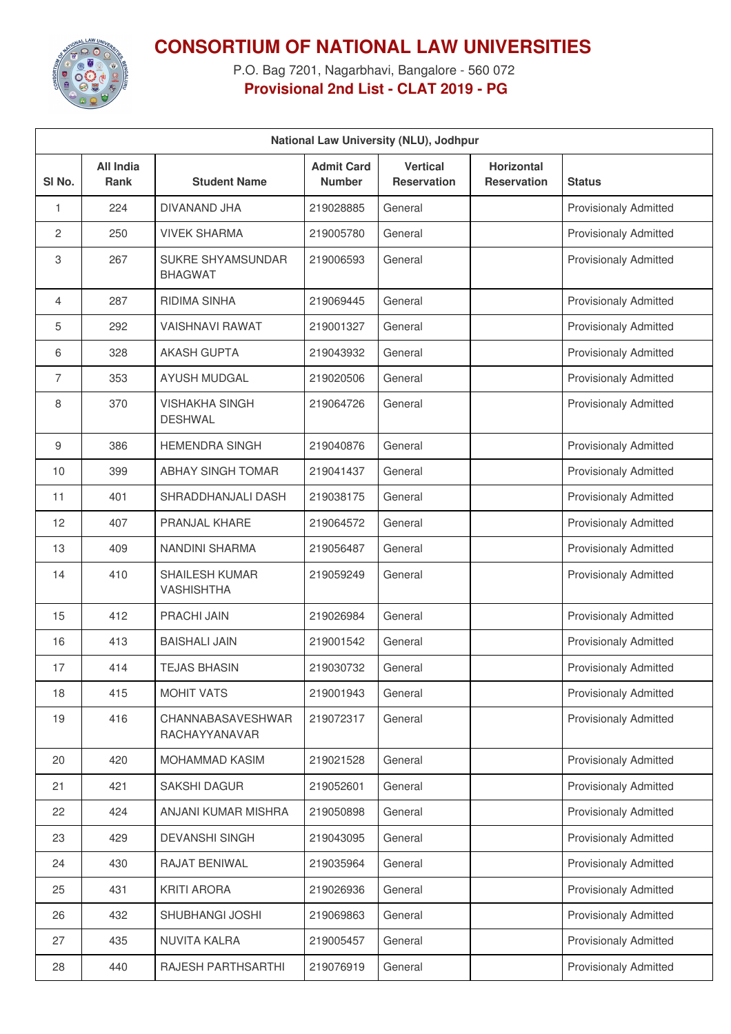

**CONSORTIUM OF NATIONAL LAW UNIVERSITIES**

P.O. Bag 7201, Nagarbhavi, Bangalore - 560 072 **Provisional 2nd List - CLAT 2019 - PG**

| National Law University (NLU), Jodhpur |                                 |                                            |                                    |                                       |                                         |                              |
|----------------------------------------|---------------------------------|--------------------------------------------|------------------------------------|---------------------------------------|-----------------------------------------|------------------------------|
| SI No.                                 | <b>All India</b><br><b>Rank</b> | <b>Student Name</b>                        | <b>Admit Card</b><br><b>Number</b> | <b>Vertical</b><br><b>Reservation</b> | <b>Horizontal</b><br><b>Reservation</b> | <b>Status</b>                |
| 1                                      | 224                             | DIVANAND JHA                               | 219028885                          | General                               |                                         | <b>Provisionaly Admitted</b> |
| 2                                      | 250                             | <b>VIVEK SHARMA</b>                        | 219005780                          | General                               |                                         | <b>Provisionaly Admitted</b> |
| 3                                      | 267                             | <b>SUKRE SHYAMSUNDAR</b><br><b>BHAGWAT</b> | 219006593                          | General                               |                                         | <b>Provisionaly Admitted</b> |
| 4                                      | 287                             | <b>RIDIMA SINHA</b>                        | 219069445                          | General                               |                                         | <b>Provisionaly Admitted</b> |
| 5                                      | 292                             | <b>VAISHNAVI RAWAT</b>                     | 219001327                          | General                               |                                         | <b>Provisionaly Admitted</b> |
| 6                                      | 328                             | <b>AKASH GUPTA</b>                         | 219043932                          | General                               |                                         | <b>Provisionaly Admitted</b> |
| $\overline{7}$                         | 353                             | <b>AYUSH MUDGAL</b>                        | 219020506                          | General                               |                                         | <b>Provisionaly Admitted</b> |
| 8                                      | 370                             | <b>VISHAKHA SINGH</b><br><b>DESHWAL</b>    | 219064726                          | General                               |                                         | <b>Provisionaly Admitted</b> |
| 9                                      | 386                             | <b>HEMENDRA SINGH</b>                      | 219040876                          | General                               |                                         | <b>Provisionaly Admitted</b> |
| 10                                     | 399                             | <b>ABHAY SINGH TOMAR</b>                   | 219041437                          | General                               |                                         | <b>Provisionaly Admitted</b> |
| 11                                     | 401                             | SHRADDHANJALI DASH                         | 219038175                          | General                               |                                         | <b>Provisionaly Admitted</b> |
| 12                                     | 407                             | PRANJAL KHARE                              | 219064572                          | General                               |                                         | <b>Provisionaly Admitted</b> |
| 13                                     | 409                             | NANDINI SHARMA                             | 219056487                          | General                               |                                         | <b>Provisionaly Admitted</b> |
| 14                                     | 410                             | <b>SHAILESH KUMAR</b><br><b>VASHISHTHA</b> | 219059249                          | General                               |                                         | <b>Provisionaly Admitted</b> |
| 15                                     | 412                             | PRACHI JAIN                                | 219026984                          | General                               |                                         | <b>Provisionaly Admitted</b> |
| 16                                     | 413                             | <b>BAISHALI JAIN</b>                       | 219001542                          | General                               |                                         | <b>Provisionaly Admitted</b> |
| 17                                     | 414                             | <b>TEJAS BHASIN</b>                        | 219030732                          | General                               |                                         | <b>Provisionaly Admitted</b> |
| 18                                     | 415                             | <b>MOHIT VATS</b>                          | 219001943                          | General                               |                                         | <b>Provisionaly Admitted</b> |
| 19                                     | 416                             | CHANNABASAVESHWAR<br>RACHAYYANAVAR         | 219072317                          | General                               |                                         | <b>Provisionaly Admitted</b> |
| 20                                     | 420                             | MOHAMMAD KASIM                             | 219021528                          | General                               |                                         | <b>Provisionaly Admitted</b> |
| 21                                     | 421                             | <b>SAKSHI DAGUR</b>                        | 219052601                          | General                               |                                         | <b>Provisionaly Admitted</b> |
| 22                                     | 424                             | ANJANI KUMAR MISHRA                        | 219050898                          | General                               |                                         | <b>Provisionaly Admitted</b> |
| 23                                     | 429                             | DEVANSHI SINGH                             | 219043095                          | General                               |                                         | <b>Provisionaly Admitted</b> |
| 24                                     | 430                             | RAJAT BENIWAL                              | 219035964                          | General                               |                                         | <b>Provisionaly Admitted</b> |
| 25                                     | 431                             | <b>KRITI ARORA</b>                         | 219026936                          | General                               |                                         | <b>Provisionaly Admitted</b> |
| 26                                     | 432                             | SHUBHANGI JOSHI                            | 219069863                          | General                               |                                         | <b>Provisionaly Admitted</b> |
| 27                                     | 435                             | NUVITA KALRA                               | 219005457                          | General                               |                                         | <b>Provisionaly Admitted</b> |
| 28                                     | 440                             | RAJESH PARTHSARTHI                         | 219076919                          | General                               |                                         | <b>Provisionaly Admitted</b> |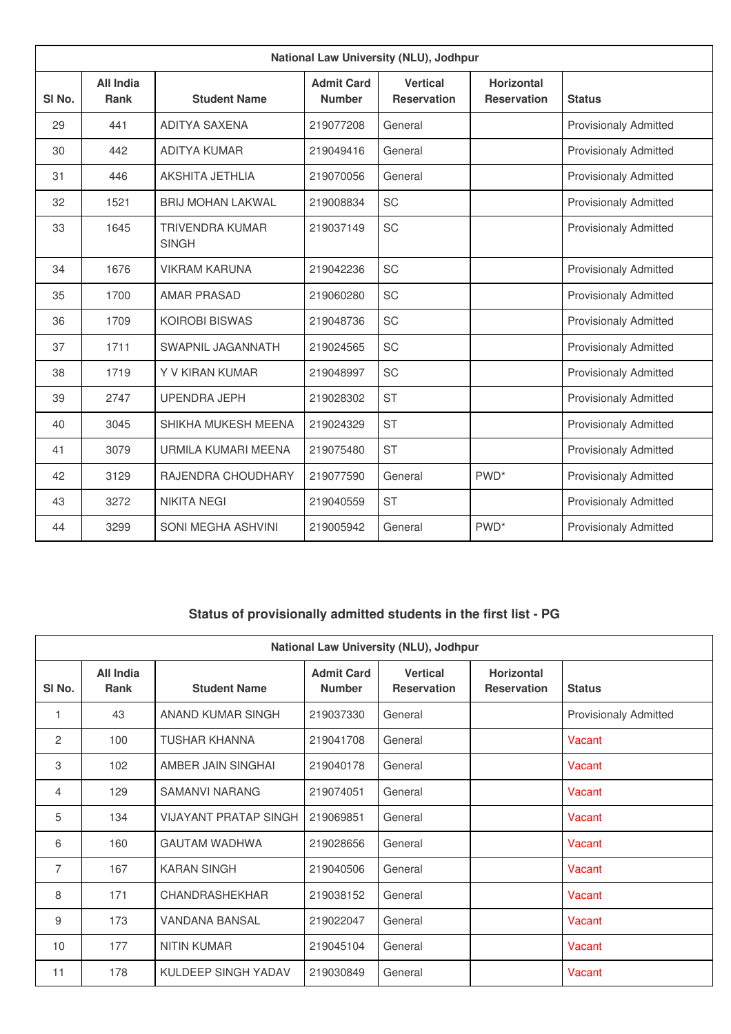| National Law University (NLU), Jodhpur |                                 |                                        |                                    |                                       |                                         |                              |  |
|----------------------------------------|---------------------------------|----------------------------------------|------------------------------------|---------------------------------------|-----------------------------------------|------------------------------|--|
| SI <sub>No.</sub>                      | <b>All India</b><br><b>Rank</b> | <b>Student Name</b>                    | <b>Admit Card</b><br><b>Number</b> | <b>Vertical</b><br><b>Reservation</b> | <b>Horizontal</b><br><b>Reservation</b> | <b>Status</b>                |  |
| 29                                     | 441                             | ADITYA SAXENA                          | 219077208                          | General                               |                                         | <b>Provisionaly Admitted</b> |  |
| 30                                     | 442                             | <b>ADITYA KUMAR</b>                    | 219049416                          | General                               |                                         | <b>Provisionaly Admitted</b> |  |
| 31                                     | 446                             | <b>AKSHITA JETHLIA</b>                 | 219070056                          | General                               |                                         | Provisionaly Admitted        |  |
| 32                                     | 1521                            | <b>BRIJ MOHAN LAKWAL</b>               | 219008834                          | <b>SC</b>                             |                                         | <b>Provisionaly Admitted</b> |  |
| 33                                     | 1645                            | <b>TRIVENDRA KUMAR</b><br><b>SINGH</b> | 219037149                          | <b>SC</b>                             |                                         | <b>Provisionaly Admitted</b> |  |
| 34                                     | 1676                            | <b>VIKRAM KARUNA</b>                   | 219042236                          | <b>SC</b>                             |                                         | <b>Provisionaly Admitted</b> |  |
| 35                                     | 1700                            | <b>AMAR PRASAD</b>                     | 219060280                          | <b>SC</b>                             |                                         | <b>Provisionaly Admitted</b> |  |
| 36                                     | 1709                            | <b>KOIROBI BISWAS</b>                  | 219048736                          | <b>SC</b>                             |                                         | <b>Provisionaly Admitted</b> |  |
| 37                                     | 1711                            | SWAPNIL JAGANNATH                      | 219024565                          | <b>SC</b>                             |                                         | <b>Provisionaly Admitted</b> |  |
| 38                                     | 1719                            | Y V KIRAN KUMAR                        | 219048997                          | <b>SC</b>                             |                                         | <b>Provisionaly Admitted</b> |  |
| 39                                     | 2747                            | <b>UPENDRA JEPH</b>                    | 219028302                          | <b>ST</b>                             |                                         | <b>Provisionaly Admitted</b> |  |
| 40                                     | 3045                            | SHIKHA MUKESH MEENA                    | 219024329                          | <b>ST</b>                             |                                         | <b>Provisionaly Admitted</b> |  |
| 41                                     | 3079                            | URMILA KUMARI MEENA                    | 219075480                          | <b>ST</b>                             |                                         | <b>Provisionaly Admitted</b> |  |
| 42                                     | 3129                            | RAJENDRA CHOUDHARY                     | 219077590                          | General                               | PWD <sup>*</sup>                        | <b>Provisionaly Admitted</b> |  |
| 43                                     | 3272                            | <b>NIKITA NEGI</b>                     | 219040559                          | <b>ST</b>                             |                                         | <b>Provisionaly Admitted</b> |  |
| 44                                     | 3299                            | SONI MEGHA ASHVINI                     | 219005942                          | General                               | PWD <sup>*</sup>                        | <b>Provisionaly Admitted</b> |  |

## **Status of provisionally admitted students in the first list - PG**

| National Law University (NLU), Jodhpur |                                 |                              |                                    |                                       |                                         |                              |  |
|----------------------------------------|---------------------------------|------------------------------|------------------------------------|---------------------------------------|-----------------------------------------|------------------------------|--|
| SI No.                                 | <b>All India</b><br><b>Rank</b> | <b>Student Name</b>          | <b>Admit Card</b><br><b>Number</b> | <b>Vertical</b><br><b>Reservation</b> | <b>Horizontal</b><br><b>Reservation</b> | <b>Status</b>                |  |
| 1                                      | 43                              | ANAND KUMAR SINGH            | 219037330                          | General                               |                                         | <b>Provisionaly Admitted</b> |  |
| $\overline{2}$                         | 100                             | <b>TUSHAR KHANNA</b>         | 219041708                          | General                               |                                         | Vacant                       |  |
| 3                                      | 102                             | AMBER JAIN SINGHAI           | 219040178                          | General                               |                                         | Vacant                       |  |
| $\overline{4}$                         | 129                             | <b>SAMANVI NARANG</b>        | 219074051                          | General                               |                                         | Vacant                       |  |
| 5                                      | 134                             | <b>VIJAYANT PRATAP SINGH</b> | 219069851                          | General                               |                                         | Vacant                       |  |
| 6                                      | 160                             | <b>GAUTAM WADHWA</b>         | 219028656                          | General                               |                                         | Vacant                       |  |
| $\overline{7}$                         | 167                             | <b>KARAN SINGH</b>           | 219040506                          | General                               |                                         | Vacant                       |  |
| 8                                      | 171                             | CHANDRASHEKHAR               | 219038152                          | General                               |                                         | Vacant                       |  |
| 9                                      | 173                             | <b>VANDANA BANSAL</b>        | 219022047                          | General                               |                                         | Vacant                       |  |
| 10                                     | 177                             | <b>NITIN KUMAR</b>           | 219045104                          | General                               |                                         | Vacant                       |  |
| 11                                     | 178                             | KULDEEP SINGH YADAV          | 219030849                          | General                               |                                         | Vacant                       |  |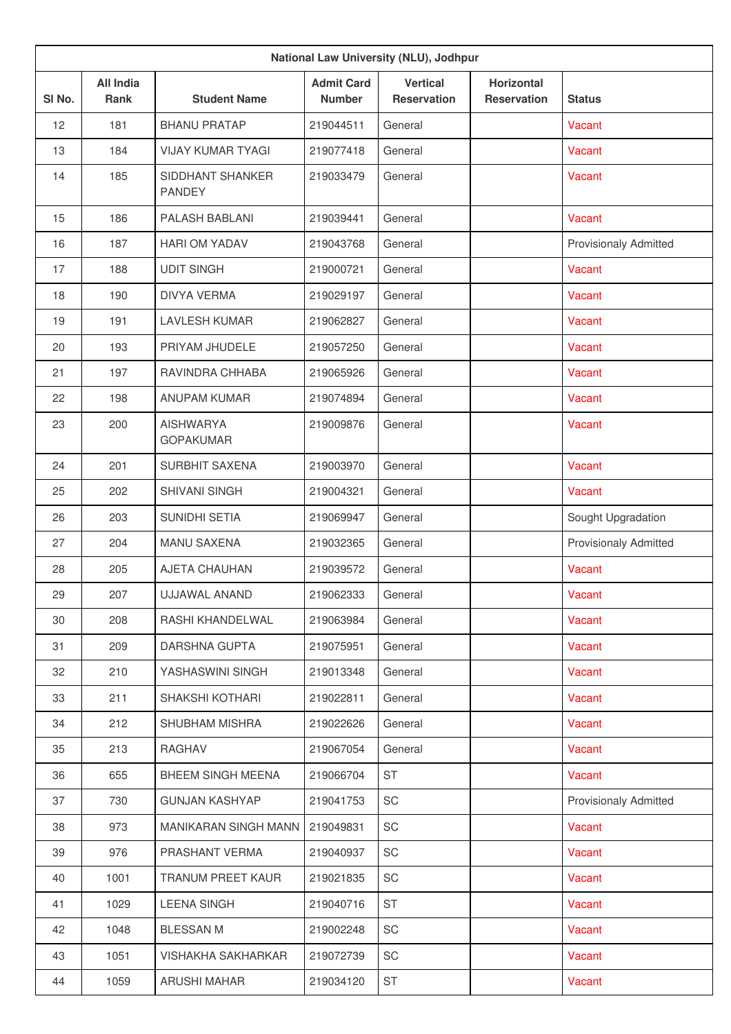| National Law University (NLU), Jodhpur |                                 |                                      |                                    |                                       |                                         |                              |
|----------------------------------------|---------------------------------|--------------------------------------|------------------------------------|---------------------------------------|-----------------------------------------|------------------------------|
| SI No.                                 | <b>All India</b><br><b>Rank</b> | <b>Student Name</b>                  | <b>Admit Card</b><br><b>Number</b> | <b>Vertical</b><br><b>Reservation</b> | <b>Horizontal</b><br><b>Reservation</b> | <b>Status</b>                |
| 12                                     | 181                             | <b>BHANU PRATAP</b>                  | 219044511                          | General                               |                                         | Vacant                       |
| 13                                     | 184                             | <b>VIJAY KUMAR TYAGI</b>             | 219077418                          | General                               |                                         | Vacant                       |
| 14                                     | 185                             | SIDDHANT SHANKER<br><b>PANDEY</b>    | 219033479                          | General                               |                                         | Vacant                       |
| 15                                     | 186                             | PALASH BABLANI                       | 219039441                          | General                               |                                         | Vacant                       |
| 16                                     | 187                             | <b>HARI OM YADAV</b>                 | 219043768                          | General                               |                                         | <b>Provisionaly Admitted</b> |
| 17                                     | 188                             | <b>UDIT SINGH</b>                    | 219000721                          | General                               |                                         | Vacant                       |
| 18                                     | 190                             | <b>DIVYA VERMA</b>                   | 219029197                          | General                               |                                         | Vacant                       |
| 19                                     | 191                             | <b>LAVLESH KUMAR</b>                 | 219062827                          | General                               |                                         | Vacant                       |
| 20                                     | 193                             | PRIYAM JHUDELE                       | 219057250                          | General                               |                                         | Vacant                       |
| 21                                     | 197                             | RAVINDRA CHHABA                      | 219065926                          | General                               |                                         | Vacant                       |
| 22                                     | 198                             | <b>ANUPAM KUMAR</b>                  | 219074894                          | General                               |                                         | Vacant                       |
| 23                                     | 200                             | <b>AISHWARYA</b><br><b>GOPAKUMAR</b> | 219009876                          | General                               |                                         | Vacant                       |
| 24                                     | 201                             | <b>SURBHIT SAXENA</b>                | 219003970                          | General                               |                                         | Vacant                       |
| 25                                     | 202                             | <b>SHIVANI SINGH</b>                 | 219004321                          | General                               |                                         | Vacant                       |
| 26                                     | 203                             | SUNIDHI SETIA                        | 219069947                          | General                               |                                         | Sought Upgradation           |
| 27                                     | 204                             | <b>MANU SAXENA</b>                   | 219032365                          | General                               |                                         | <b>Provisionaly Admitted</b> |
| 28                                     | 205                             | <b>AJETA CHAUHAN</b>                 | 219039572                          | General                               |                                         | <b>Vacant</b>                |
| 29                                     | 207                             | UJJAWAL ANAND                        | 219062333                          | General                               |                                         | Vacant                       |
| 30                                     | 208                             | RASHI KHANDELWAL                     | 219063984                          | General                               |                                         | Vacant                       |
| 31                                     | 209                             | DARSHNA GUPTA                        | 219075951                          | General                               |                                         | Vacant                       |
| 32                                     | 210                             | YASHASWINI SINGH                     | 219013348                          | General                               |                                         | Vacant                       |
| 33                                     | 211                             | SHAKSHI KOTHARI                      | 219022811                          | General                               |                                         | Vacant                       |
| 34                                     | 212                             | SHUBHAM MISHRA                       | 219022626                          | General                               |                                         | Vacant                       |
| 35                                     | 213                             | <b>RAGHAV</b>                        | 219067054                          | General                               |                                         | Vacant                       |
| 36                                     | 655                             | BHEEM SINGH MEENA                    | 219066704                          | ST                                    |                                         | Vacant                       |
| 37                                     | 730                             | <b>GUNJAN KASHYAP</b>                | 219041753                          | SC                                    |                                         | <b>Provisionaly Admitted</b> |
| 38                                     | 973                             | MANIKARAN SINGH MANN                 | 219049831                          | SC                                    |                                         | Vacant                       |
| 39                                     | 976                             | PRASHANT VERMA                       | 219040937                          | SC                                    |                                         | Vacant                       |
| 40                                     | 1001                            | <b>TRANUM PREET KAUR</b>             | 219021835                          | SC                                    |                                         | Vacant                       |
| 41                                     | 1029                            | <b>LEENA SINGH</b>                   | 219040716                          | <b>ST</b>                             |                                         | Vacant                       |
| 42                                     | 1048                            | <b>BLESSAN M</b>                     | 219002248                          | SC                                    |                                         | Vacant                       |
| 43                                     | 1051                            | VISHAKHA SAKHARKAR                   | 219072739                          | SC                                    |                                         | Vacant                       |
| 44                                     | 1059                            | <b>ARUSHI MAHAR</b>                  | 219034120                          | ST                                    |                                         | Vacant                       |